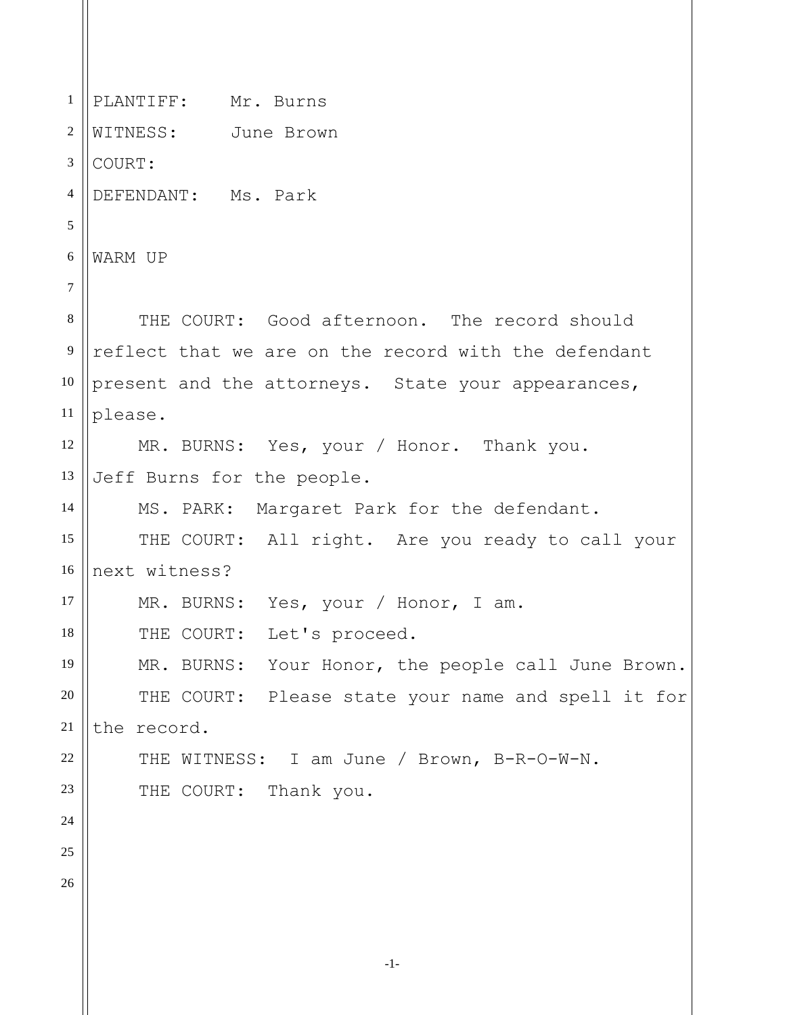1 2 3 4 5 6 7 8 9 10 11 12 13 14 15 16 17 18 19 20 21 22 23 24 25 26 PLANTIFF: Mr. Burns WITNESS: June Brown COURT: DEFENDANT: Ms. Park WARM UP THE COURT: Good afternoon. The record should reflect that we are on the record with the defendant present and the attorneys. State your appearances, please. MR. BURNS: Yes, your / Honor. Thank you. Jeff Burns for the people. MS. PARK: Margaret Park for the defendant. THE COURT: All right. Are you ready to call your next witness? MR. BURNS: Yes, your / Honor, I am. THE COURT: Let's proceed. MR. BURNS: Your Honor, the people call June Brown. THE COURT: Please state your name and spell it for the record. THE WITNESS: I am June / Brown, B-R-O-W-N. THE COURT: Thank you.

-1-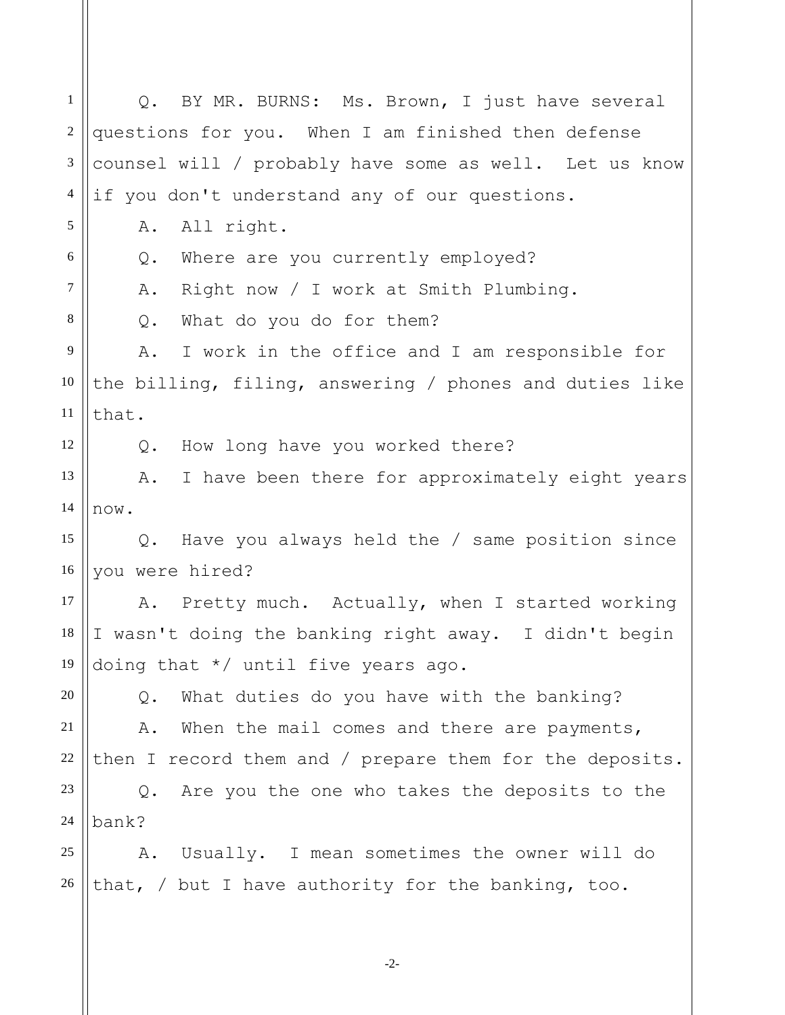1 2 3 4 5 6 7 8 9 10 11 12 13 14 15 16 17 18 19 20 21 22 23 24 25 26 Q. BY MR. BURNS: Ms. Brown, I just have several questions for you. When I am finished then defense counsel will / probably have some as well. Let us know if you don't understand any of our questions. A. All right. Q. Where are you currently employed? A. Right now / I work at Smith Plumbing. Q. What do you do for them? A. I work in the office and I am responsible for the billing, filing, answering / phones and duties like that. Q. How long have you worked there? A. I have been there for approximately eight years now. Q. Have you always held the / same position since you were hired? A. Pretty much. Actually, when I started working I wasn't doing the banking right away. I didn't begin doing that \*/ until five years ago. Q. What duties do you have with the banking? A. When the mail comes and there are payments, then I record them and / prepare them for the deposits. Q. Are you the one who takes the deposits to the bank? A. Usually. I mean sometimes the owner will do that, / but I have authority for the banking, too.

-2-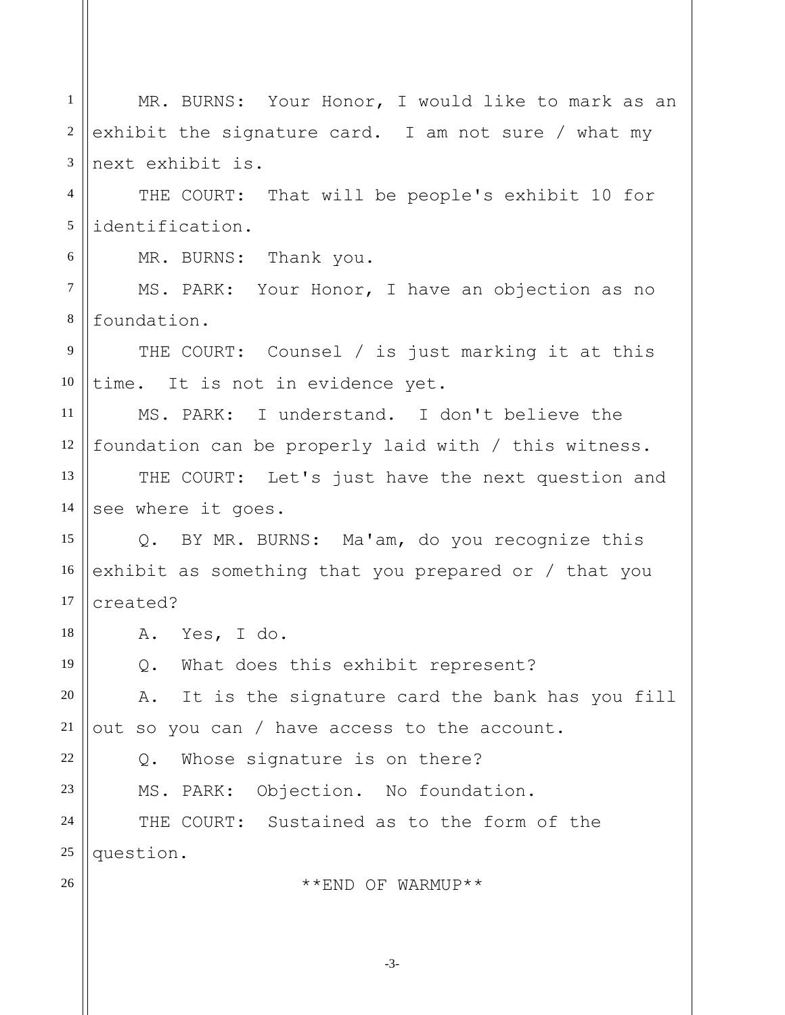1 2 3 4 5 6 7 8 9 10 11 12 13 14 15 16 17 18 19 20 21 22 23 24 25 26 MR. BURNS: Your Honor, I would like to mark as an exhibit the signature card. I am not sure / what my next exhibit is. THE COURT: That will be people's exhibit 10 for identification. MR. BURNS: Thank you. MS. PARK: Your Honor, I have an objection as no foundation. THE COURT: Counsel / is just marking it at this time. It is not in evidence yet. MS. PARK: I understand. I don't believe the foundation can be properly laid with / this witness. THE COURT: Let's just have the next question and see where it goes. Q. BY MR. BURNS: Ma'am, do you recognize this exhibit as something that you prepared or / that you created? A. Yes, I do. Q. What does this exhibit represent? A. It is the signature card the bank has you fill out so you can / have access to the account. Q. Whose signature is on there? MS. PARK: Objection. No foundation. THE COURT: Sustained as to the form of the question. \*\*END OF WARMUP\*\*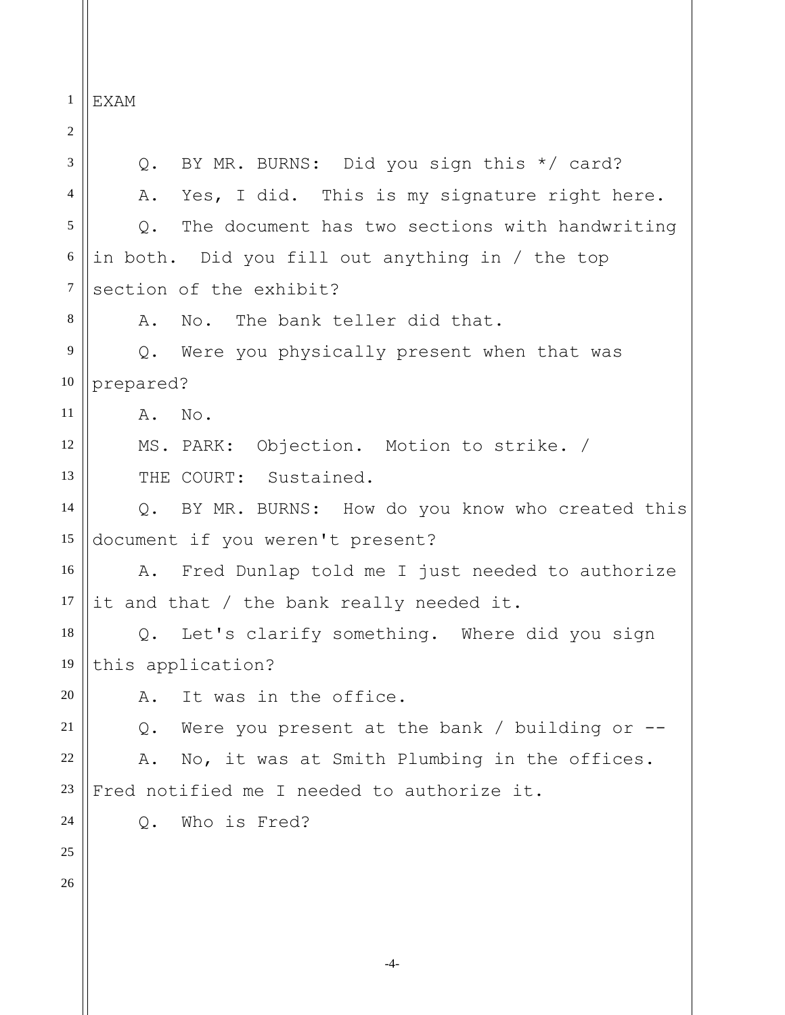1 EXAM

2 3 4 5 6 7 8 9 10 11 12 13 14 15 16 17 18 19 20 21 22 23 24 25 26 Q. BY MR. BURNS: Did you sign this \*/ card? A. Yes, I did. This is my signature right here. Q. The document has two sections with handwriting in both. Did you fill out anything in / the top section of the exhibit? A. No. The bank teller did that. Q. Were you physically present when that was prepared? A. No. MS. PARK: Objection. Motion to strike. / THE COURT: Sustained. Q. BY MR. BURNS: How do you know who created this document if you weren't present? A. Fred Dunlap told me I just needed to authorize it and that / the bank really needed it. Q. Let's clarify something. Where did you sign this application? A. It was in the office. Q. Were you present at the bank / building or -- A. No, it was at Smith Plumbing in the offices. Fred notified me I needed to authorize it. Q. Who is Fred?

-4-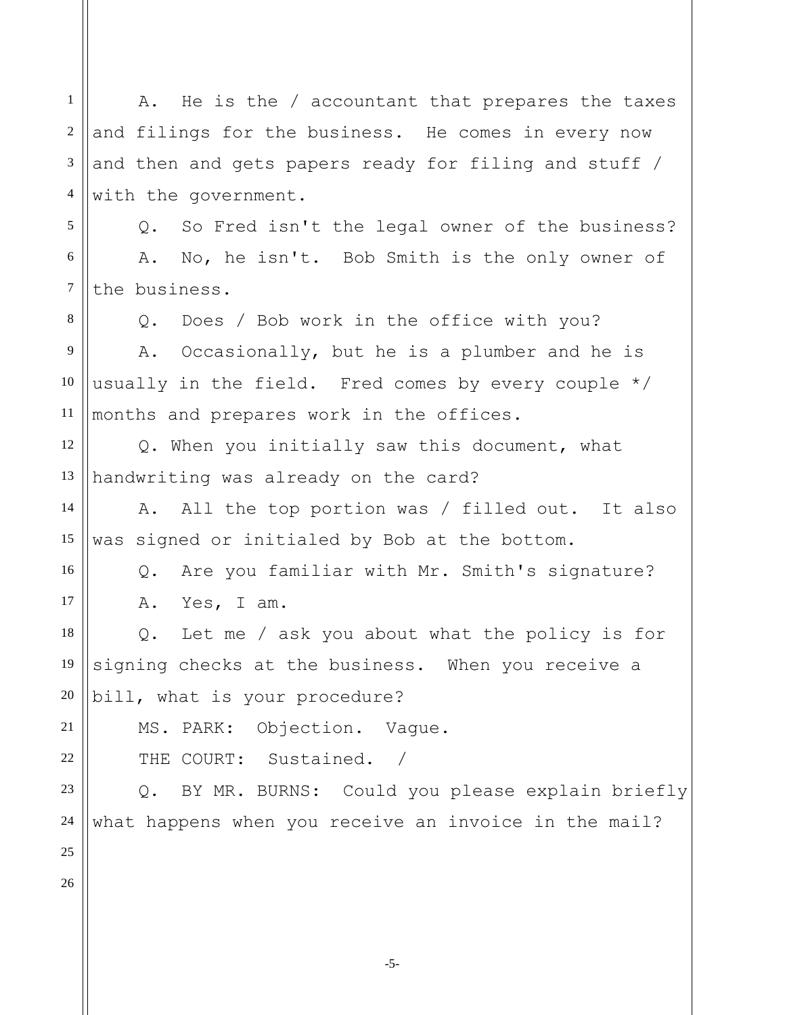2 3 4 5 6 7 8 9 10 11 12 13 14 15 16 17 18 19 20 21 22 23 24 25 and filings for the business. He comes in every now and then and gets papers ready for filing and stuff / with the government. Q. So Fred isn't the legal owner of the business? A. No, he isn't. Bob Smith is the only owner of the business. Q. Does / Bob work in the office with you? A. Occasionally, but he is a plumber and he is usually in the field. Fred comes by every couple \*/ months and prepares work in the offices. Q. When you initially saw this document, what handwriting was already on the card? A. All the top portion was / filled out. It also was signed or initialed by Bob at the bottom. Q. Are you familiar with Mr. Smith's signature? A. Yes, I am. Q. Let me / ask you about what the policy is for signing checks at the business. When you receive a bill, what is your procedure? MS. PARK: Objection. Vague. THE COURT: Sustained. / Q. BY MR. BURNS: Could you please explain briefly what happens when you receive an invoice in the mail?

A. He is the / accountant that prepares the taxes

1

26

-5-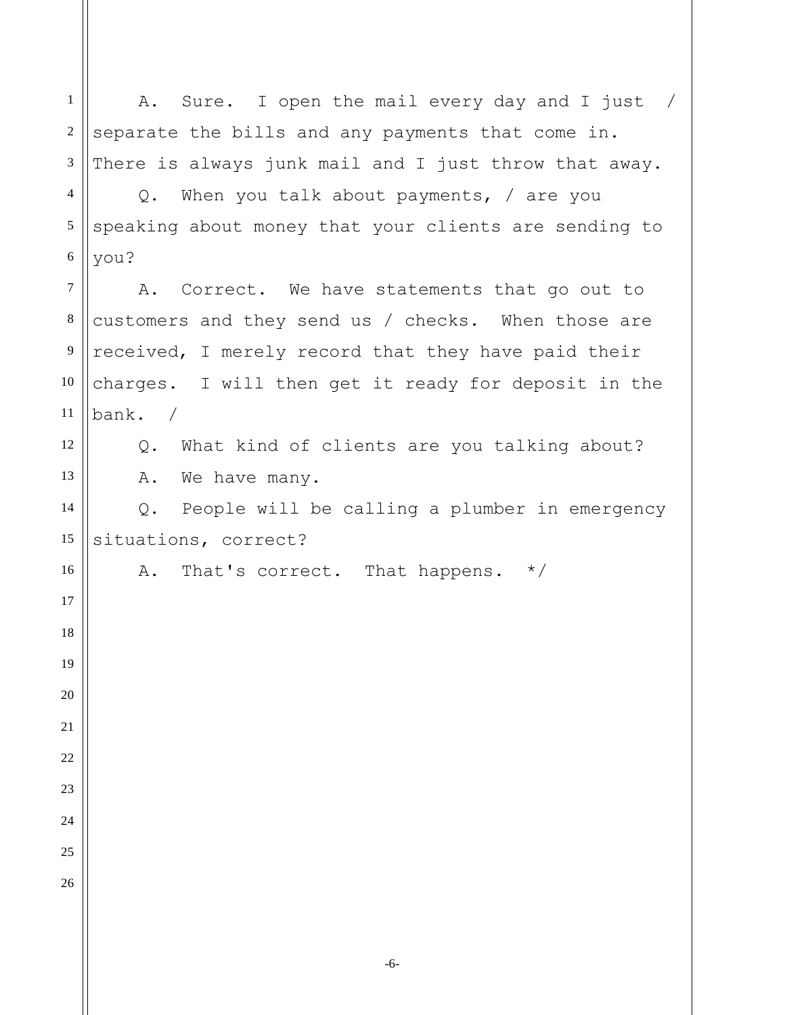A. Sure. I open the mail every day and I just / separate the bills and any payments that come in. There is always junk mail and I just throw that away. Q. When you talk about payments, / are you speaking about money that your clients are sending to you? A. Correct. We have statements that go out to customers and they send us / checks. When those are received, I merely record that they have paid their charges. I will then get it ready for deposit in the bank. / Q. What kind of clients are you talking about? A. We have many. Q. People will be calling a plumber in emergency situations, correct? A. That's correct. That happens. \*/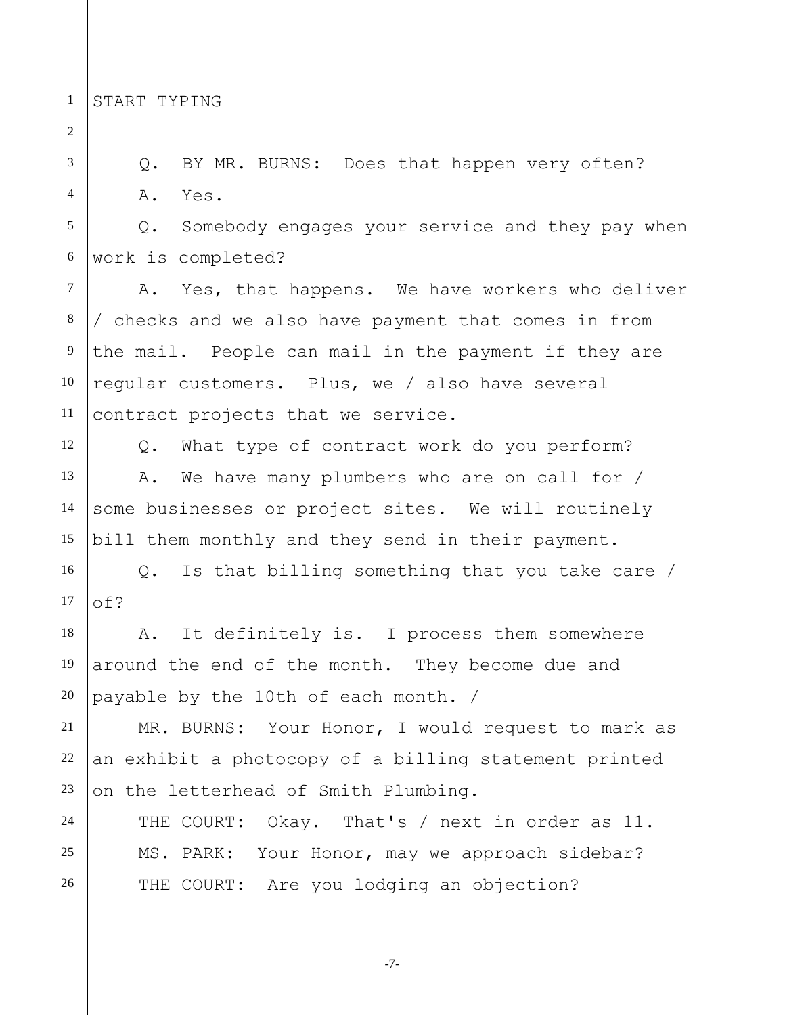1 START TYPING

26

Q. BY MR. BURNS: Does that happen very often? A. Yes.

Q. Somebody engages your service and they pay when work is completed?

A. Yes, that happens. We have workers who deliver / checks and we also have payment that comes in from the mail. People can mail in the payment if they are regular customers. Plus, we / also have several contract projects that we service.

Q. What type of contract work do you perform? A. We have many plumbers who are on call for / some businesses or project sites. We will routinely bill them monthly and they send in their payment.

Q. Is that billing something that you take care / of?

A. It definitely is. I process them somewhere around the end of the month. They become due and payable by the 10th of each month. /

MR. BURNS: Your Honor, I would request to mark as an exhibit a photocopy of a billing statement printed on the letterhead of Smith Plumbing.

THE COURT: Okay. That's / next in order as 11. MS. PARK: Your Honor, may we approach sidebar? THE COURT: Are you lodging an objection?

-7-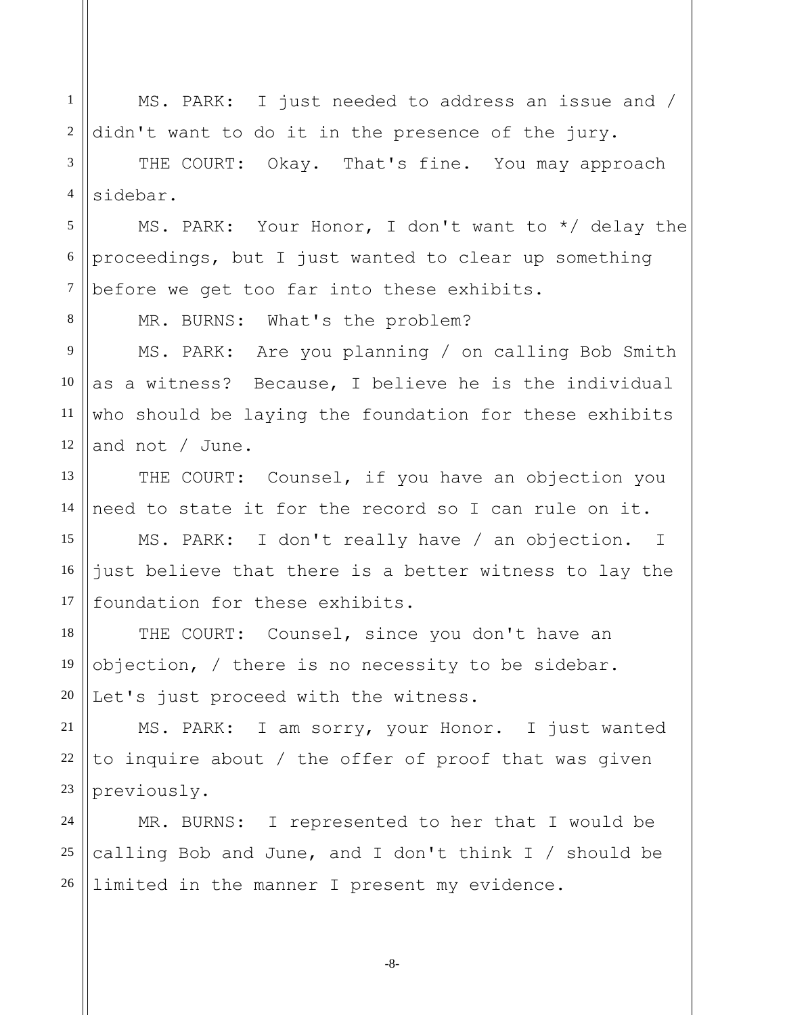MS. PARK: I just needed to address an issue and / didn't want to do it in the presence of the jury.

3 4 THE COURT: Okay. That's fine. You may approach sidebar.

5 6 7 MS. PARK: Your Honor, I don't want to \*/ delay the proceedings, but I just wanted to clear up something before we get too far into these exhibits.

MR. BURNS: What's the problem?

1

2

8

11

9 10 12 MS. PARK: Are you planning / on calling Bob Smith as a witness? Because, I believe he is the individual who should be laying the foundation for these exhibits and not / June.

13 14 THE COURT: Counsel, if you have an objection you need to state it for the record so I can rule on it.

15 16 17 MS. PARK: I don't really have / an objection. I just believe that there is a better witness to lay the foundation for these exhibits.

18 19 20 THE COURT: Counsel, since you don't have an objection, / there is no necessity to be sidebar. Let's just proceed with the witness.

21 22 23 MS. PARK: I am sorry, your Honor. I just wanted to inquire about / the offer of proof that was given previously.

24 25 26 MR. BURNS: I represented to her that I would be calling Bob and June, and I don't think I / should be limited in the manner I present my evidence.

-8-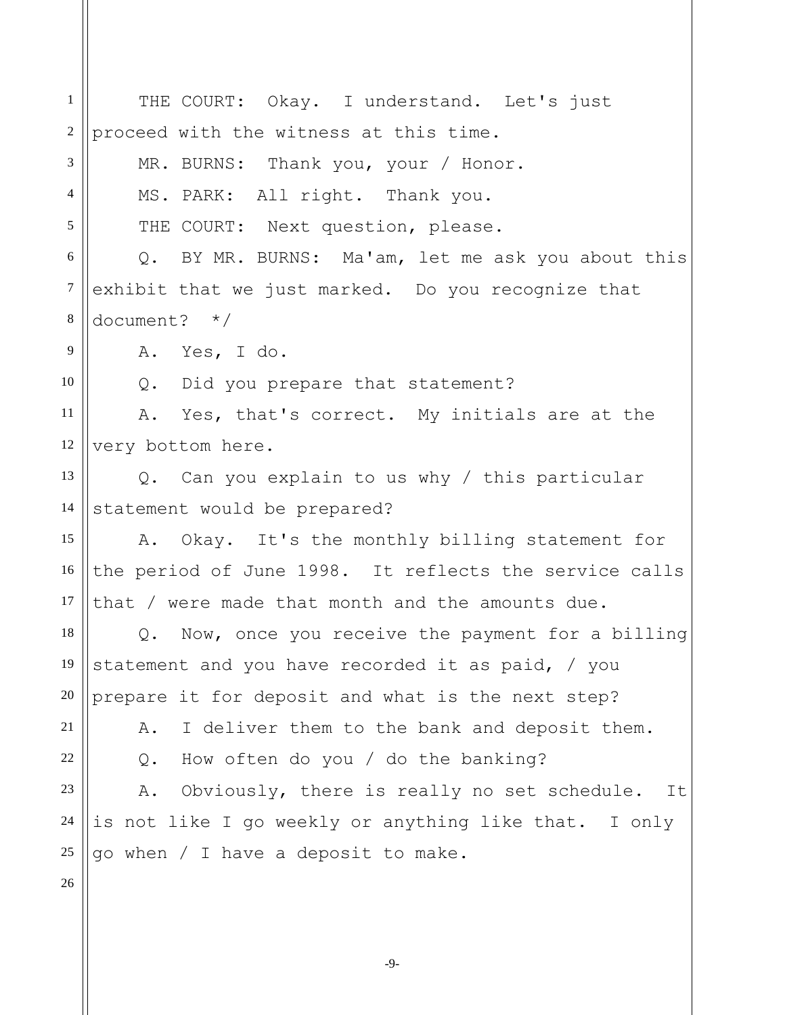1 2 3 4 5 6 7 8 9 10 11 12 13 14 15 16 17 18 19 20 21 22 23 24 25 26 THE COURT: Okay. I understand. Let's just proceed with the witness at this time. MR. BURNS: Thank you, your / Honor. MS. PARK: All right. Thank you. THE COURT: Next question, please. Q. BY MR. BURNS: Ma'am, let me ask you about this exhibit that we just marked. Do you recognize that document? \*/ A. Yes, I do. Q. Did you prepare that statement? A. Yes, that's correct. My initials are at the very bottom here. Q. Can you explain to us why / this particular statement would be prepared? A. Okay. It's the monthly billing statement for the period of June 1998. It reflects the service calls that / were made that month and the amounts due. Q. Now, once you receive the payment for a billing statement and you have recorded it as paid, / you prepare it for deposit and what is the next step? A. I deliver them to the bank and deposit them. Q. How often do you / do the banking? A. Obviously, there is really no set schedule. It is not like I go weekly or anything like that. I only go when / I have a deposit to make.

-9-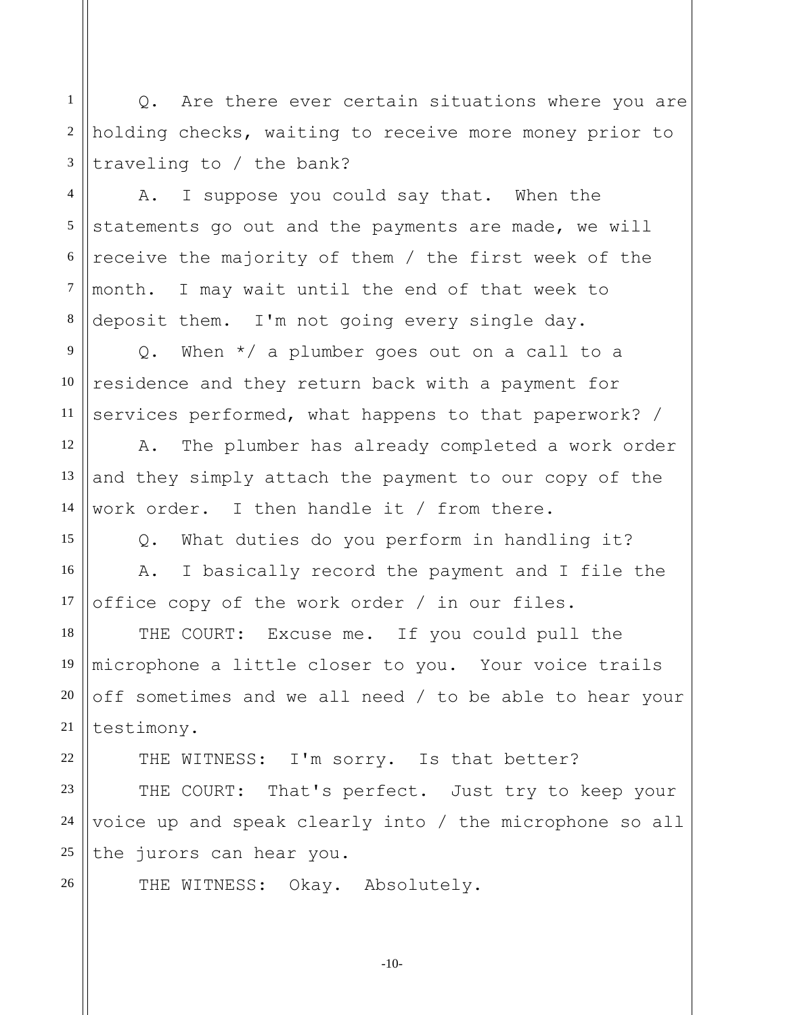1 2 3 Q. Are there ever certain situations where you are holding checks, waiting to receive more money prior to traveling to / the bank?

4 5 6 7 8 A. I suppose you could say that. When the statements go out and the payments are made, we will receive the majority of them / the first week of the month. I may wait until the end of that week to deposit them. I'm not going every single day.

9 10 11 Q. When \*/ a plumber goes out on a call to a residence and they return back with a payment for services performed, what happens to that paperwork? /

12

13

14

15

16

17

18

19

20

21

22

26

A. The plumber has already completed a work order and they simply attach the payment to our copy of the work order. I then handle it / from there.

Q. What duties do you perform in handling it? A. I basically record the payment and I file the office copy of the work order / in our files.

THE COURT: Excuse me. If you could pull the microphone a little closer to you. Your voice trails off sometimes and we all need / to be able to hear your testimony.

THE WITNESS: I'm sorry. Is that better?

23 24 25 THE COURT: That's perfect. Just try to keep your voice up and speak clearly into / the microphone so all the jurors can hear you.

THE WITNESS: Okay. Absolutely.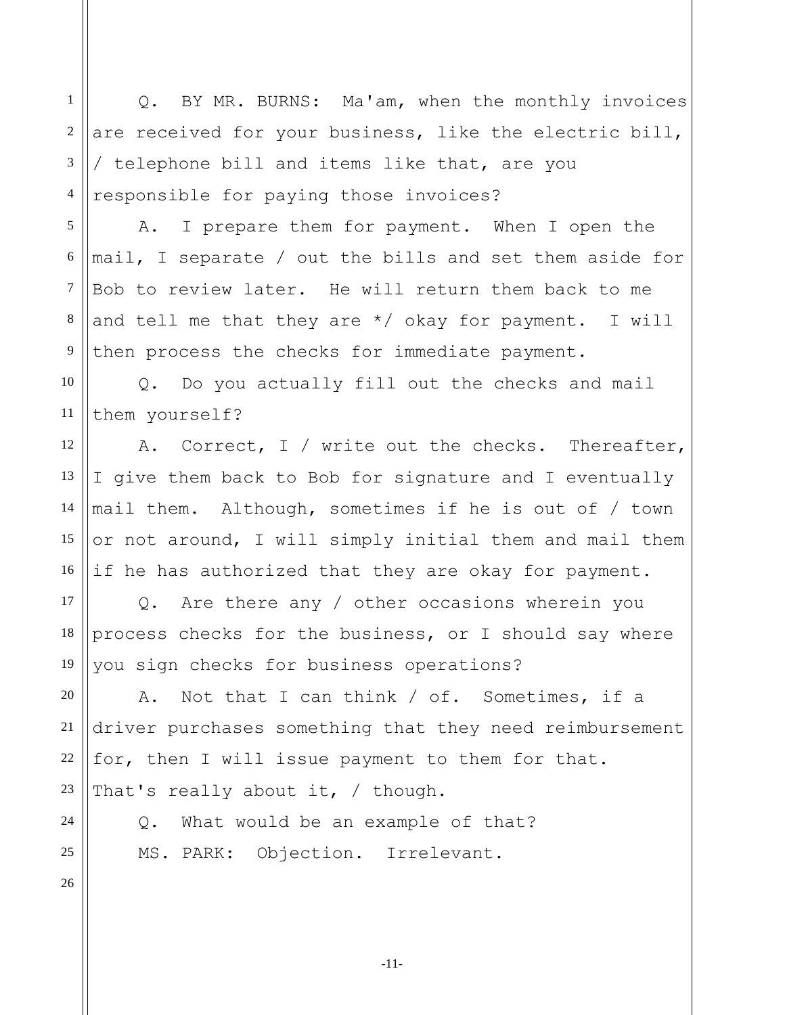Q. BY MR. BURNS: Ma'am, when the monthly invoices are received for your business, like the electric bill, / telephone bill and items like that, are you responsible for paying those invoices?

A. I prepare them for payment. When I open the mail, I separate / out the bills and set them aside for Bob to review later. He will return them back to me and tell me that they are  $*/$  okay for payment. I will then process the checks for immediate payment.

10 11 Q. Do you actually fill out the checks and mail them yourself?

12 13 14 15 16 A. Correct, I / write out the checks. Thereafter, I give them back to Bob for signature and I eventually mail them. Although, sometimes if he is out of / town or not around, I will simply initial them and mail them if he has authorized that they are okay for payment.

Q. Are there any / other occasions wherein you process checks for the business, or I should say where you sign checks for business operations?

A. Not that I can think / of. Sometimes, if a driver purchases something that they need reimbursement for, then I will issue payment to them for that. That's really about it, / though.

Q. What would be an example of that? MS. PARK: Objection. Irrelevant.

26

1

2

3

4

5

6

7

8

9

17

18

19

20

21

22

23

24

25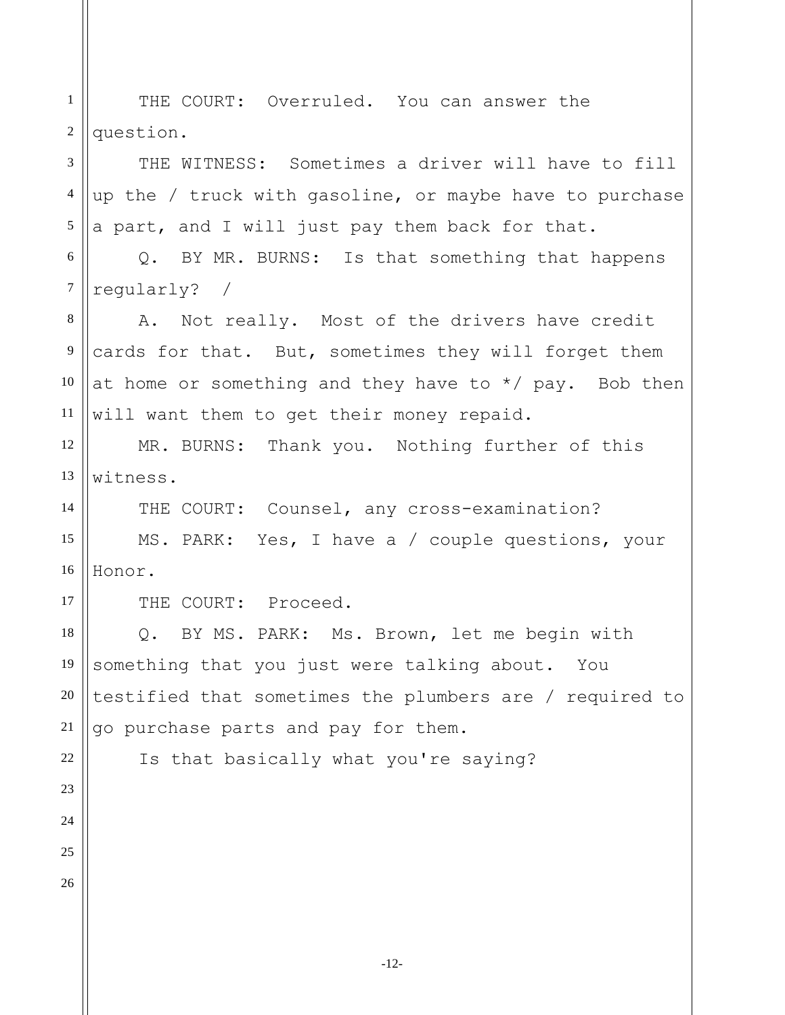1 2 THE COURT: Overruled. You can answer the question.

3 4 5 THE WITNESS: Sometimes a driver will have to fill up the / truck with gasoline, or maybe have to purchase a part, and I will just pay them back for that.

6 7 Q. BY MR. BURNS: Is that something that happens regularly? /

8 9 10 11 A. Not really. Most of the drivers have credit cards for that. But, sometimes they will forget them at home or something and they have to  $*/$  pay. Bob then will want them to get their money repaid.

12 13 MR. BURNS: Thank you. Nothing further of this witness.

14 15 16 THE COURT: Counsel, any cross-examination? MS. PARK: Yes, I have a / couple questions, your Honor.

THE COURT: Proceed.

18 19 20 Q. BY MS. PARK: Ms. Brown, let me begin with something that you just were talking about. You testified that sometimes the plumbers are / required to go purchase parts and pay for them.

Is that basically what you're saying?

21

17

26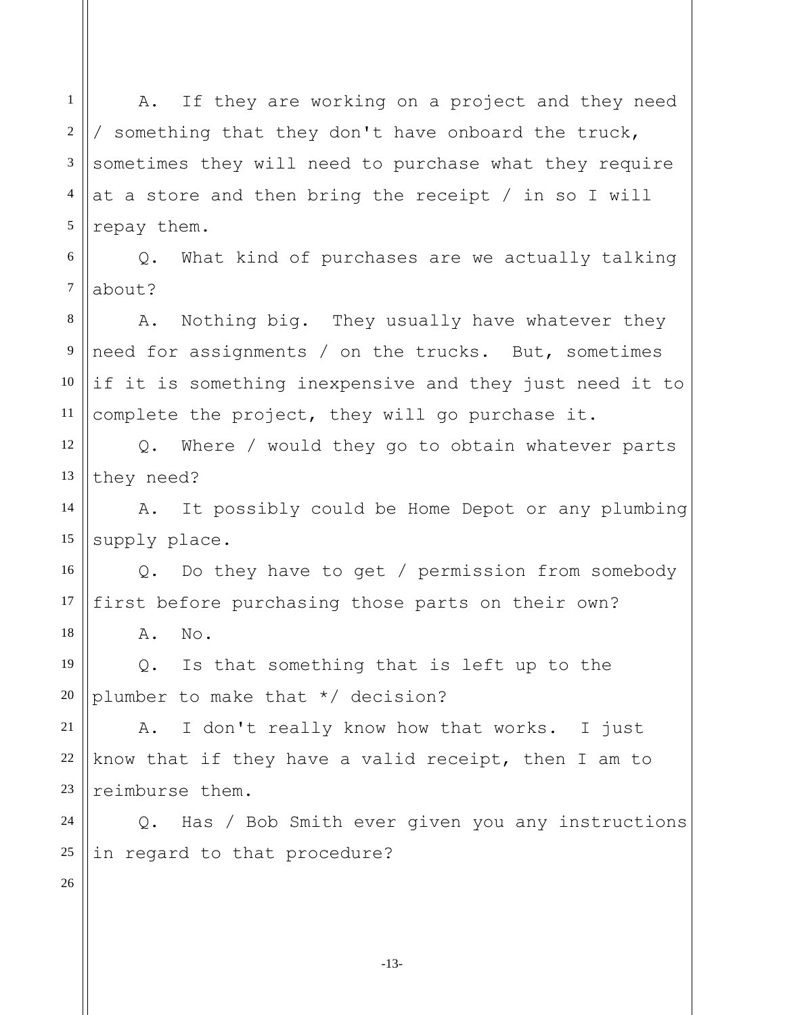1 2 3 4 5 A. If they are working on a project and they need / something that they don't have onboard the truck, sometimes they will need to purchase what they require at a store and then bring the receipt / in so I will repay them.

6 7 Q. What kind of purchases are we actually talking about?

8 9 10 11 A. Nothing big. They usually have whatever they need for assignments / on the trucks. But, sometimes if it is something inexpensive and they just need it to complete the project, they will go purchase it.

12 13 Q. Where / would they go to obtain whatever parts they need?

14 15 A. It possibly could be Home Depot or any plumbing supply place.

Q. Do they have to get / permission from somebody first before purchasing those parts on their own?

A. No.

19 20 Q. Is that something that is left up to the plumber to make that \*/ decision?

21 22 23 A. I don't really know how that works. I just know that if they have a valid receipt, then I am to reimburse them.

24 25 Q. Has / Bob Smith ever given you any instructions in regard to that procedure?

26

16

17

18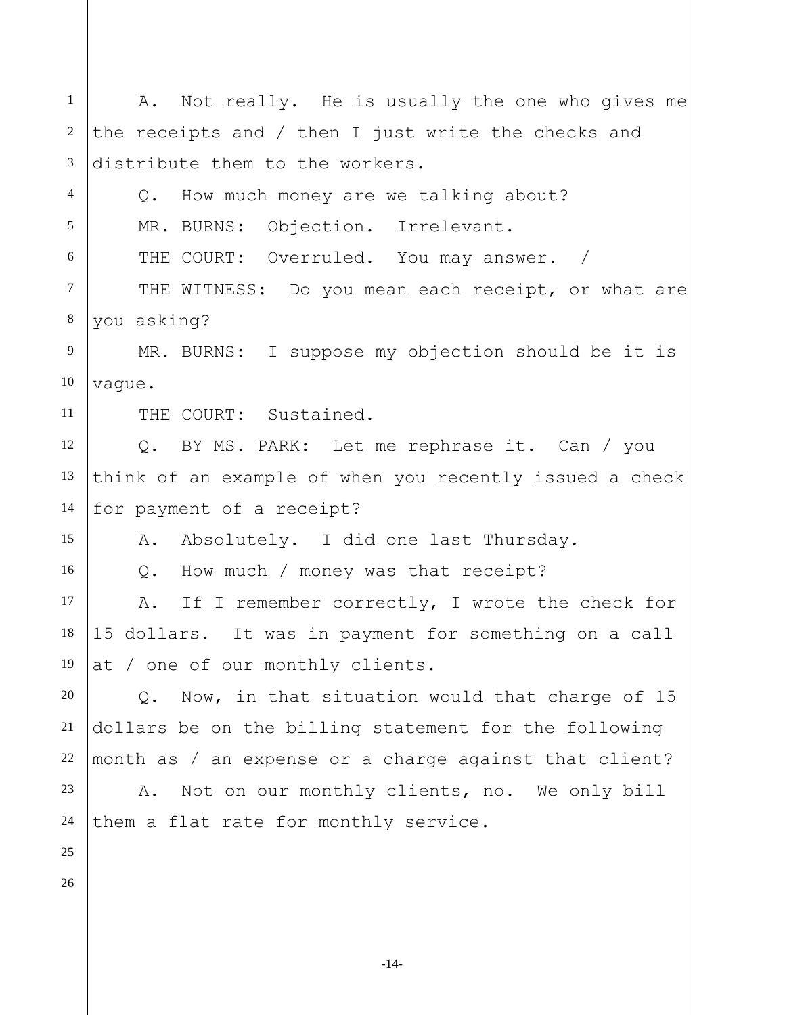| $\mathbf{1}$   | A. Not really. He is usually the one who gives me       |
|----------------|---------------------------------------------------------|
| 2              | the receipts and / then I just write the checks and     |
| $\overline{3}$ | distribute them to the workers.                         |
| $\overline{4}$ | Q. How much money are we talking about?                 |
| 5              | MR. BURNS: Objection. Irrelevant.                       |
| 6              | THE COURT: Overruled. You may answer. /                 |
| $\tau$         | THE WITNESS: Do you mean each receipt, or what are      |
| $\,8\,$        | you asking?                                             |
| 9              | MR. BURNS: I suppose my objection should be it is       |
| 10             | vaque.                                                  |
| 11             | THE COURT: Sustained.                                   |
| 12             | Q. BY MS. PARK: Let me rephrase it. Can / you           |
| 13             | think of an example of when you recently issued a check |
| 14             | for payment of a receipt?                               |
| 15             | A. Absolutely. I did one last Thursday.                 |
| 16             | Q. How much / money was that receipt?                   |
| 17             | A. If I remember correctly, I wrote the check for       |
| 18             | 15 dollars. It was in payment for something on a call   |
| 19             | at / one of our monthly clients.                        |
| 20             | Now, in that situation would that charge of 15<br>Q.    |
| 21             | dollars be on the billing statement for the following   |
| 22             | month as / an expense or a charge against that client?  |
| 23             | Not on our monthly clients, no. We only bill<br>Α.      |
| 24             | them a flat rate for monthly service.                   |
| 25             |                                                         |
| 26             |                                                         |
|                |                                                         |
|                |                                                         |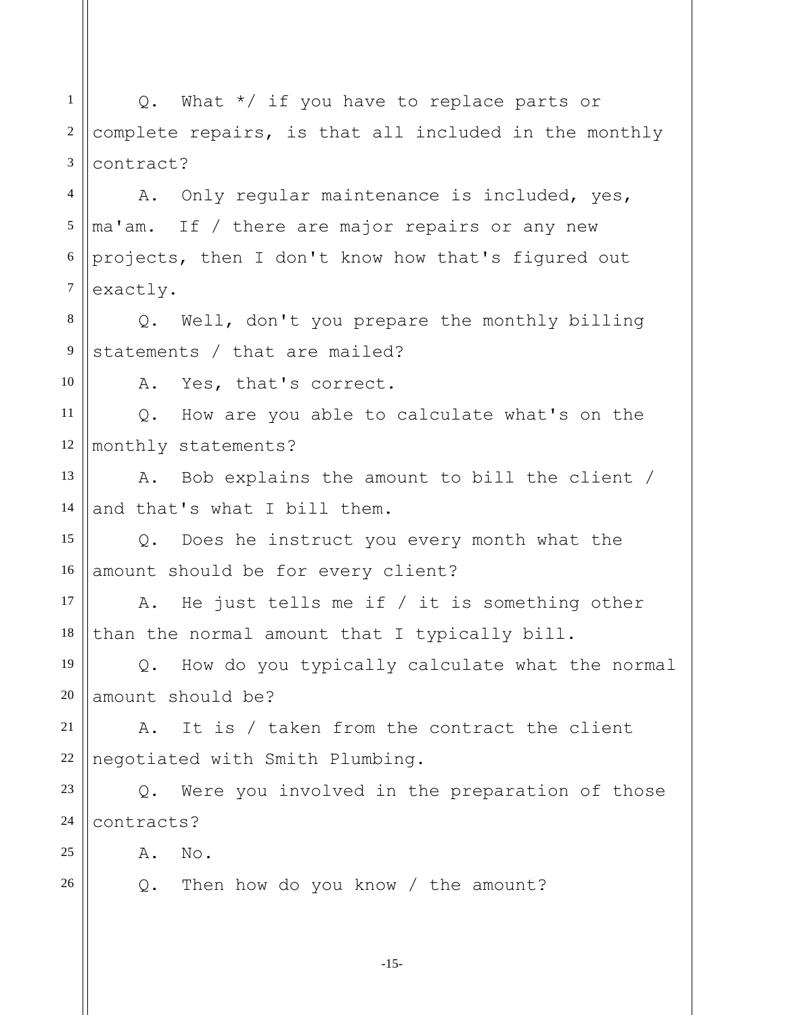1 2 3 4 5 6 7 8 9 10 11 12 13 14 15 16 17 18 19 20 21 22 23 24 25 26 Q. What \*/ if you have to replace parts or complete repairs, is that all included in the monthly contract? A. Only regular maintenance is included, yes, ma'am. If / there are major repairs or any new projects, then I don't know how that's figured out exactly. Q. Well, don't you prepare the monthly billing statements / that are mailed? A. Yes, that's correct. Q. How are you able to calculate what's on the monthly statements? A. Bob explains the amount to bill the client / and that's what I bill them. Q. Does he instruct you every month what the amount should be for every client? A. He just tells me if / it is something other than the normal amount that I typically bill. Q. How do you typically calculate what the normal amount should be? A. It is / taken from the contract the client negotiated with Smith Plumbing. Q. Were you involved in the preparation of those contracts? A. No. Q. Then how do you know / the amount?

-15-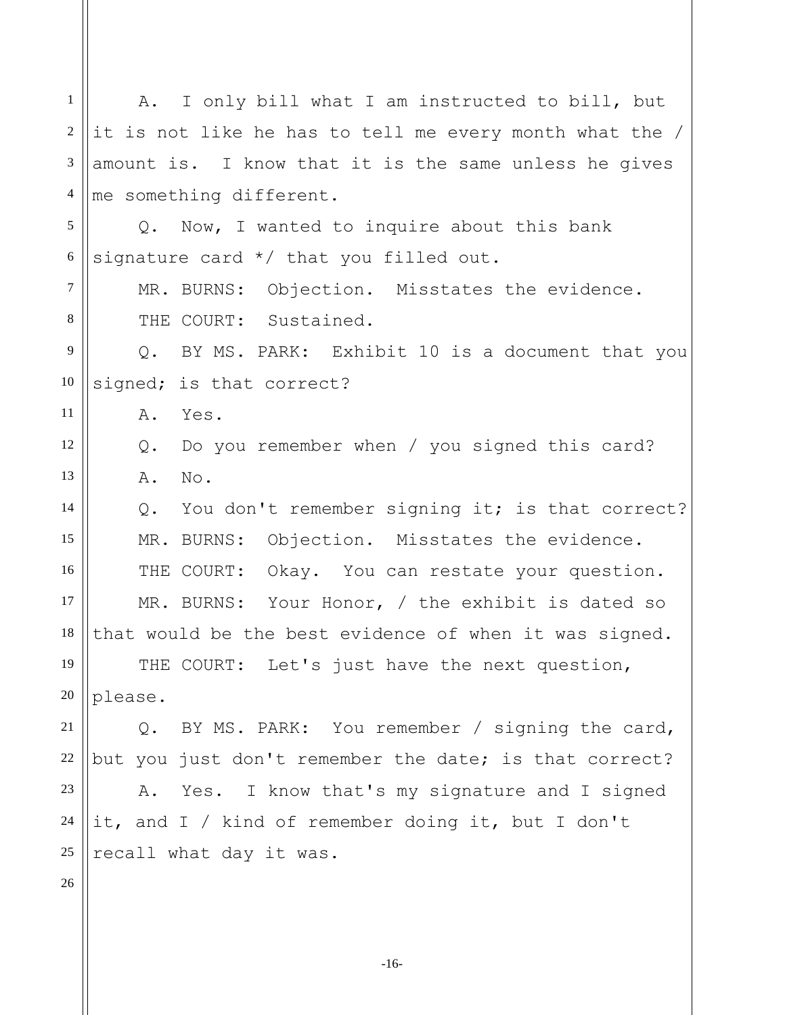1 2 3 4 5 6 7 8 9 10 11 12 13 14 15 16 17 18 19 20 21 22 23 24 25 26 A. I only bill what I am instructed to bill, but it is not like he has to tell me every month what the / amount is. I know that it is the same unless he gives me something different. Q. Now, I wanted to inquire about this bank signature card \*/ that you filled out. MR. BURNS: Objection. Misstates the evidence. THE COURT: Sustained. Q. BY MS. PARK: Exhibit 10 is a document that you signed; is that correct? A. Yes. Q. Do you remember when / you signed this card? A. No. Q. You don't remember signing it; is that correct? MR. BURNS: Objection. Misstates the evidence. THE COURT: Okay. You can restate your question. MR. BURNS: Your Honor, / the exhibit is dated so that would be the best evidence of when it was signed. THE COURT: Let's just have the next question, please. Q. BY MS. PARK: You remember / signing the card, but you just don't remember the date; is that correct? A. Yes. I know that's my signature and I signed it, and I / kind of remember doing it, but I don't recall what day it was.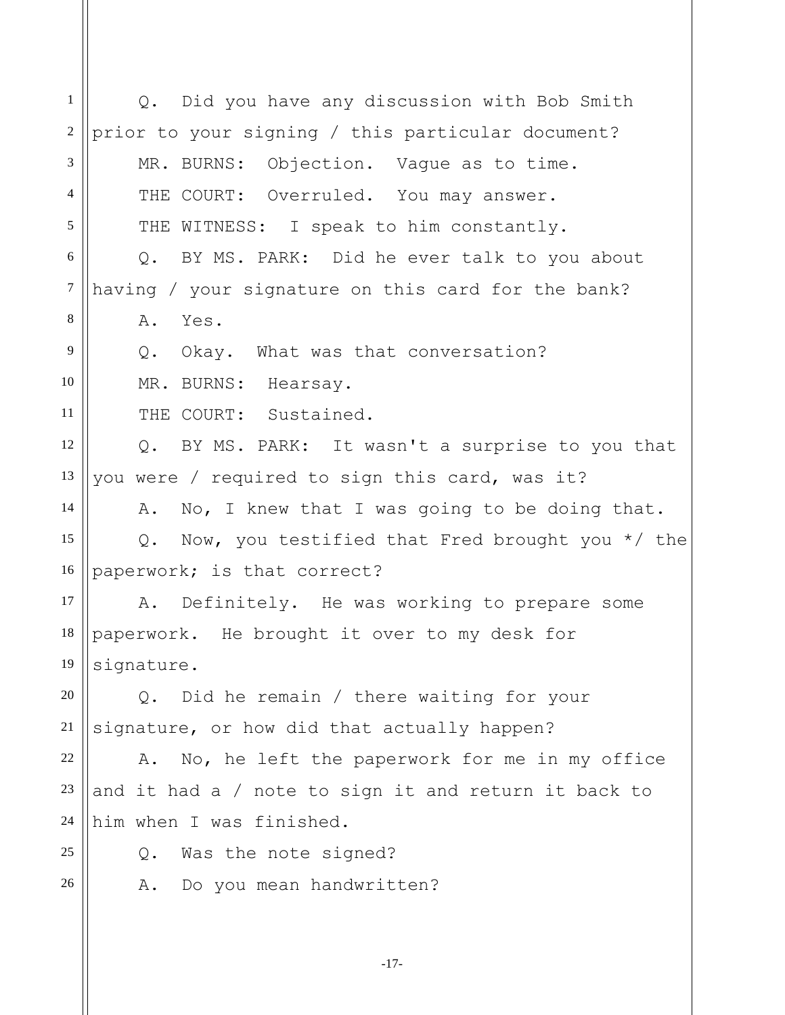1 2 3 4 5 6 7 8 9 10 11 12 13 14 15 16 17 18 19 20 21 22 23 24 25 26 Q. Did you have any discussion with Bob Smith prior to your signing / this particular document? MR. BURNS: Objection. Vague as to time. THE COURT: Overruled. You may answer. THE WITNESS: I speak to him constantly. Q. BY MS. PARK: Did he ever talk to you about having / your signature on this card for the bank? A. Yes. Q. Okay. What was that conversation? MR. BURNS: Hearsay. THE COURT: Sustained. Q. BY MS. PARK: It wasn't a surprise to you that you were / required to sign this card, was it? A. No, I knew that I was going to be doing that. Q. Now, you testified that Fred brought you \*/ the paperwork; is that correct? A. Definitely. He was working to prepare some paperwork. He brought it over to my desk for signature. Q. Did he remain / there waiting for your signature, or how did that actually happen? A. No, he left the paperwork for me in my office and it had a / note to sign it and return it back to him when I was finished. Q. Was the note signed? A. Do you mean handwritten?